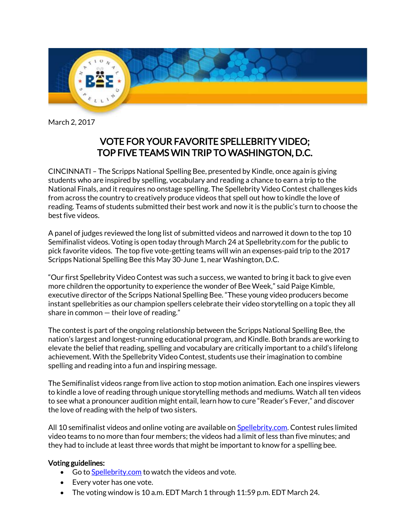

March 2, 2017

# VOTE FOR YOUR FAVORITE SPELLEBRITY VIDEO; TOP FIVE TEAMS WIN TRIP TO WASHINGTON, D.C.

CINCINNATI – The Scripps National Spelling Bee, presented by Kindle, once again is giving students who are inspired by spelling, vocabulary and reading a chance to earn a trip to the National Finals, and it requires no onstage spelling. The Spellebrity Video Contest challenges kids from across the country to creatively produce videos that spell out how to kindle the love of reading. Teams of students submitted their best work and now it is the public's turn to choose the best five videos.

A panel of judges reviewed the long list of submitted videos and narrowed it down to the top 10 Semifinalist videos. Voting is open today through March 24 at Spellebrity.com for the public to pick favorite videos. The top five vote-getting teams will win an expenses-paid trip to the 2017 Scripps National Spelling Bee this May 30-June 1, near Washington, D.C.

"Our first Spellebrity Video Contest was such a success, we wanted to bring it back to give even more children the opportunity to experience the wonder of Bee Week," said Paige Kimble, executive director of the Scripps National Spelling Bee. "These young video producers become instant spellebrities as our champion spellers celebrate their video storytelling on a topic they all share in common — their love of reading."

The contest is part of the ongoing relationship between the Scripps National Spelling Bee, the nation's largest and longest-running educational program, and Kindle. Both brands are working to elevate the belief that reading, spelling and vocabulary are critically important to a child's lifelong achievement. With the Spellebrity Video Contest, students use their imagination to combine spelling and reading into a fun and inspiring message.

The Semifinalist videos range from live action to stop motion animation. Each one inspires viewers to kindle a love of reading through unique storytelling methods and mediums. Watch all ten videos to see what a pronouncer audition might entail, learn how to cure "Reader's Fever," and discover the love of reading with the help of two sisters.

All 10 semifinalist videos and online voting are available o[n Spellebrity.com.](https://spellebrity.skild.com/skild2/spellebrity/viewEntryVoting.action) Contest rules limited video teams to no more than four members; the videos had a limit of less than five minutes; and they had to include at least three words that might be important to know for a spelling bee.

## Voting guidelines:

- Go t[o Spellebrity.com](https://spellebrity.skild.com/skild2/spellebrity/viewEntryVoting.action) to watch the videos and vote.
- Every voter has one vote.
- The voting window is 10 a.m. EDT March 1 through 11:59 p.m. EDT March 24.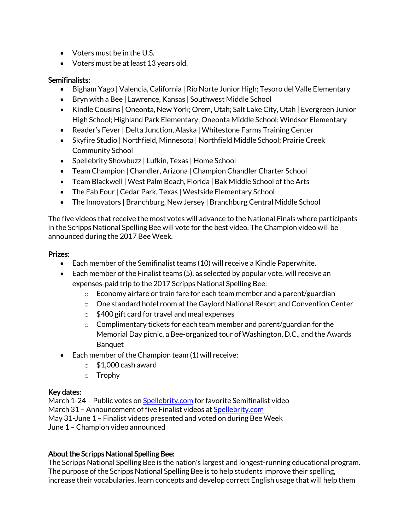- Voters must be in the U.S.
- Voters must be at least 13 years old.

## Semifinalists:

- Bigham Yago | Valencia, California | Rio Norte Junior High; Tesoro del Valle Elementary
- Bryn with a Bee | Lawrence, Kansas | Southwest Middle School
- Kindle Cousins | Oneonta, New York; Orem, Utah; Salt Lake City, Utah | Evergreen Junior High School; Highland Park Elementary; Oneonta Middle School; Windsor Elementary
- Reader's Fever | Delta Junction, Alaska | Whitestone Farms Training Center
- Skyfire Studio | Northfield, Minnesota | Northfield Middle School; Prairie Creek Community School
- Spellebrity Showbuzz | Lufkin, Texas | Home School
- Team Champion | Chandler, Arizona | Champion Chandler Charter School
- Team Blackwell | West Palm Beach, Florida | Bak Middle School of the Arts
- The Fab Four | Cedar Park, Texas | Westside Elementary School
- The Innovators | Branchburg, New Jersey | Branchburg Central Middle School

The five videos that receive the most votes will advance to the National Finals where participants in the Scripps National Spelling Bee will vote for the best video. The Champion video will be announced during the 2017 Bee Week.

## Prizes:

- Each member of the Semifinalist teams (10) will receive a Kindle Paperwhite.
- Each member of the Finalist teams (5), as selected by popular vote, will receive an expenses-paid trip to the 2017 Scripps National Spelling Bee:
	- $\circ$  Economy airfare or train fare for each team member and a parent/guardian
	- $\circ$  One standard hotel room at the Gaylord National Resort and Convention Center
	- o \$400 gift card for travel and meal expenses
	- $\circ$  Complimentary tickets for each team member and parent/guardian for the Memorial Day picnic, a Bee-organized tour of Washington, D.C., and the Awards Banquet
- Each member of the Champion team (1) will receive:
	- $\circ$  \$1,000 cash award
	- o Trophy

### Key dates:

March 1-24 – Public votes o[n Spellebrity.com](https://spellebrity.skild.com/skild2/spellebrity/viewEntryVoting.action) for favorite Semifinalist video March 31 - Announcement of five Finalist videos a[t Spellebrity.com](https://spellebrity.skild.com/skild2/spellebrity/viewEntryVoting.action) May 31-June 1 – Finalist videos presented and voted on during Bee Week June 1 – Champion video announced

## About the Scripps National Spelling Bee:

The Scripps National Spelling Bee is the nation's largest and longest-running educational program. The purpose of the Scripps National Spelling Bee is to help students improve their spelling, increase their vocabularies, learn concepts and develop correct English usage that will help them